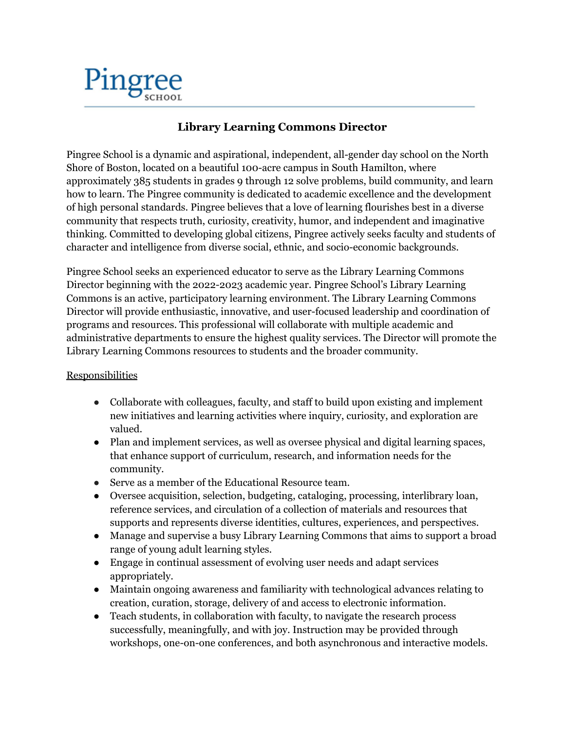

## **Library Learning Commons Director**

Pingree School is a dynamic and aspirational, independent, all-gender day school on the North Shore of Boston, located on a beautiful 100-acre campus in South Hamilton, where approximately 385 students in grades 9 through 12 solve problems, build community, and learn how to learn. The Pingree community is dedicated to academic excellence and the development of high personal standards. Pingree believes that a love of learning flourishes best in a diverse community that respects truth, curiosity, creativity, humor, and independent and imaginative thinking. Committed to developing global citizens, Pingree actively seeks faculty and students of character and intelligence from diverse social, ethnic, and socio-economic backgrounds.

Pingree School seeks an experienced educator to serve as the Library Learning Commons Director beginning with the 2022-2023 academic year. Pingree School's Library Learning Commons is an active, participatory learning environment. The Library Learning Commons Director will provide enthusiastic, innovative, and user-focused leadership and coordination of programs and resources. This professional will collaborate with multiple academic and administrative departments to ensure the highest quality services. The Director will promote the Library Learning Commons resources to students and the broader community.

## **Responsibilities**

- Collaborate with colleagues, faculty, and staff to build upon existing and implement new initiatives and learning activities where inquiry, curiosity, and exploration are valued.
- Plan and implement services, as well as oversee physical and digital learning spaces, that enhance support of curriculum, research, and information needs for the community.
- Serve as a member of the Educational Resource team.
- Oversee acquisition, selection, budgeting, cataloging, processing, interlibrary loan, reference services, and circulation of a collection of materials and resources that supports and represents diverse identities, cultures, experiences, and perspectives.
- Manage and supervise a busy Library Learning Commons that aims to support a broad range of young adult learning styles.
- Engage in continual assessment of evolving user needs and adapt services appropriately.
- Maintain ongoing awareness and familiarity with technological advances relating to creation, curation, storage, delivery of and access to electronic information.
- Teach students, in collaboration with faculty, to navigate the research process successfully, meaningfully, and with joy. Instruction may be provided through workshops, one-on-one conferences, and both asynchronous and interactive models.